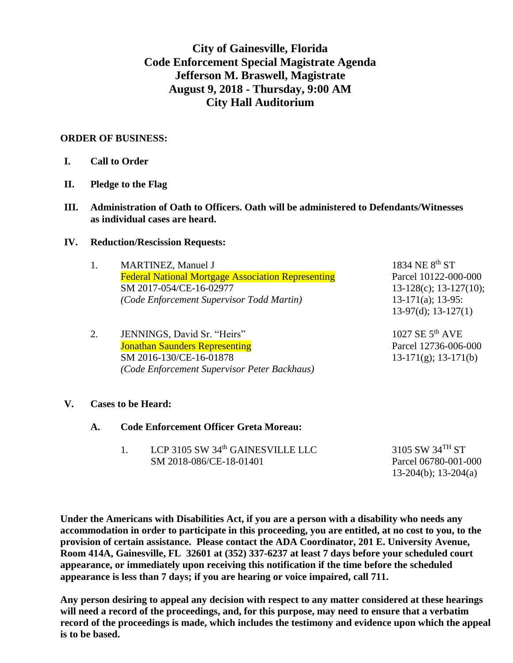## **City of Gainesville, Florida Code Enforcement Special Magistrate Agenda Jefferson M. Braswell, Magistrate August 9, 2018 - Thursday, 9:00 AM City Hall Auditorium**

#### **ORDER OF BUSINESS:**

- **II. Pledge to the Flag**
- **III. Administration of Oath to Officers. Oath will be administered to Defendants/Witnesses as individual cases are heard.**

#### **IV. Reduction/Rescission Requests:**

|    | <b>MARTINEZ, Manuel J</b>                                 | 1834 NE 8 <sup>th</sup> ST   |
|----|-----------------------------------------------------------|------------------------------|
|    | <b>Federal National Mortgage Association Representing</b> | Parcel 10122-000-000         |
|    | SM 2017-054/CE-16-02977                                   | $13-128(c)$ ; $13-127(10)$ ; |
|    | (Code Enforcement Supervisor Todd Martin)                 | $13-171(a); 13-95:$          |
|    |                                                           | $13-97(d); 13-127(1)$        |
| 2. | JENNINGS, David Sr. "Heirs"                               | 1027 SE $5^{th}$ AVE         |
|    | <b>Jonathan Saunders Representing</b>                     | Parcel 12736-006-000         |
|    | SM 2016-130/CE-16-01878                                   | $13-171(g)$ ; 13-171(b)      |
|    | (Code Enforcement Supervisor Peter Backhaus)              |                              |
|    |                                                           |                              |
|    |                                                           |                              |

#### **V. Cases to be Heard:**

| <b>Code Enforcement Officer Greta Moreau:</b> |                                                       |                 |
|-----------------------------------------------|-------------------------------------------------------|-----------------|
|                                               | $\overline{1}$ CD 2105 CW 24th $C$ A INITENTIFIE I LC | 2105 $CUV24THC$ |

1. LCP 3105 SW  $34^{\text{th}}$  GAINESVILLE LLC  $3105$  SW  $34^{\text{th}}$  ST SM 2018-086/CE-18-01401 Parcel 06780-001-000 13-204(b); 13-204(a)

**Under the Americans with Disabilities Act, if you are a person with a disability who needs any accommodation in order to participate in this proceeding, you are entitled, at no cost to you, to the provision of certain assistance. Please contact the ADA Coordinator, 201 E. University Avenue, Room 414A, Gainesville, FL 32601 at (352) 337-6237 at least 7 days before your scheduled court appearance, or immediately upon receiving this notification if the time before the scheduled appearance is less than 7 days; if you are hearing or voice impaired, call 711.**

**Any person desiring to appeal any decision with respect to any matter considered at these hearings will need a record of the proceedings, and, for this purpose, may need to ensure that a verbatim record of the proceedings is made, which includes the testimony and evidence upon which the appeal is to be based.**